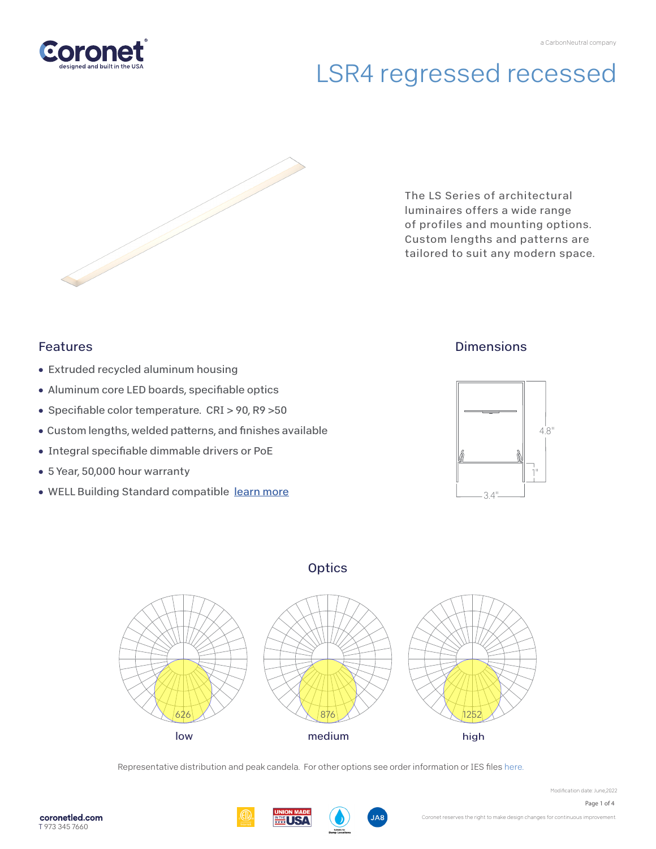



The LS Series of architectural luminaires offers a wide range of profiles and mounting options. Custom lengths and patterns are tailored to suit any modern space.

### Features

- Extruded recycled aluminum housing
- Aluminum core LED boards, specifiable optics
- Specifiable color temperature. CRI > 90, R9 > 50
- Custom lengths, welded patterns, and finishes available
- Integral specifiable dimmable drivers or PoE
- 5 Year, 50,000 hour warranty
- WELL Building Standard compatible [learn more](https://coronetled.com/well-v2-standard/)

## **Dimensions**



### **Optics**



Representative distribution and peak candela. For other options see order information or IES files [here.](https://coronetled.com/downloads/)



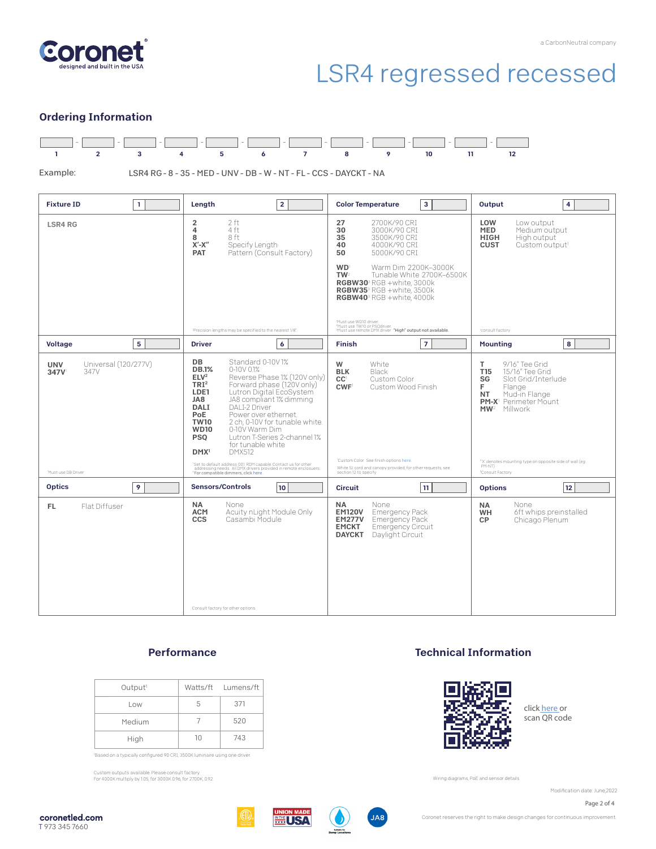

#### Ordering Information



Example:

LSR4 RG - 8 - 35 - MED - UNV - DB - W - NT - FL - CCS - DAYCKT - NA

| <b>Fixture ID</b><br>$\mathbf{1}$                                        | Length<br>$\overline{2}$                                                                                                                                                                                                                                                                                                                                                                                                                                                                                                                                                                                                                                                                                  | 3<br><b>Color Temperature</b>                                                                                                                                                                                                                                                                                              | Output<br>4                                                                                                                                                                                                                                                                                           |
|--------------------------------------------------------------------------|-----------------------------------------------------------------------------------------------------------------------------------------------------------------------------------------------------------------------------------------------------------------------------------------------------------------------------------------------------------------------------------------------------------------------------------------------------------------------------------------------------------------------------------------------------------------------------------------------------------------------------------------------------------------------------------------------------------|----------------------------------------------------------------------------------------------------------------------------------------------------------------------------------------------------------------------------------------------------------------------------------------------------------------------------|-------------------------------------------------------------------------------------------------------------------------------------------------------------------------------------------------------------------------------------------------------------------------------------------------------|
| <b>LSR4 RG</b>                                                           | 2 ft<br>$\overline{\mathbf{2}}$<br>4<br>4 ft<br>8 ft<br>8<br>$X'$ - $X''$<br>Specify Length<br>Pattern (Consult Factory)<br><b>PAT</b>                                                                                                                                                                                                                                                                                                                                                                                                                                                                                                                                                                    | 27<br>2700K/90 CRI<br>30<br>3000K/90 CRI<br>35<br>3500K/90 CRI<br>40<br>4000K/90 CRI<br>50<br>5000K/90 CRI<br><b>WD</b><br>Warm Dim 2200K-3000K<br>TW <sup>2</sup><br>Tunable White 2700K-6500K<br>RGBW30 <sup>3</sup> RGB +white, 3000k<br>RGBW35 <sup>3</sup> RGB +white, 3500k<br>RGBW40 <sup>3</sup> RGB +white. 4000k | LOW<br>Low output<br><b>MED</b><br>Medium output<br><b>HIGH</b><br>High output<br><b>CUST</b><br>Custom output <sup>1</sup>                                                                                                                                                                           |
|                                                                          | 'Precision lengths may be specified to the nearest 1/8".                                                                                                                                                                                                                                                                                                                                                                                                                                                                                                                                                                                                                                                  | Must use WD10 driver.<br><sup>2</sup> Must use TW10 or PSQdriver.<br><sup>3</sup> Must use remote DMX driver. "High" output not available.                                                                                                                                                                                 | 'consult factory                                                                                                                                                                                                                                                                                      |
| 5<br><b>Voltage</b>                                                      | 6<br><b>Driver</b>                                                                                                                                                                                                                                                                                                                                                                                                                                                                                                                                                                                                                                                                                        | $\overline{7}$<br><b>Finish</b>                                                                                                                                                                                                                                                                                            | 8<br><b>Mounting</b>                                                                                                                                                                                                                                                                                  |
| Universal (120/277V)<br><b>UNV</b><br>347V<br>347V<br>Must use DB Driver | DB<br>Standard 0-10V1%<br><b>DB.1%</b><br>$0-10V$ $01%$<br>ELV <sup>2</sup><br>Reverse Phase 1% (120V only)<br>TRI <sup>2</sup><br>Forward phase (120V only)<br>Lutron Digital EcoSystem<br>LDE1<br>BAL<br>JA8 compliant 1% dimming<br><b>DALI</b><br><b>DALI-2 Driver</b><br>Power over ethernet.<br>PoE<br><b>TW10</b><br>2 ch. 0-10V for tunable white.<br><b>WD10</b><br>0-10V Warm Dim<br><b>PSO</b><br>Lutron T-Series 2-channel 1%<br>for tunable white<br>DMX <sup>1</sup><br><b>DMX512</b><br><sup>1</sup> Set to default address 001. RDM capable. Contact us for other<br>addressing needs. All DMX drivers provided in remote enclosuers.<br><sup>2</sup> For compatible dimmers, click here. | W<br>White<br><b>BLK</b><br>Black<br>CC <sup>1</sup><br>Custom Color<br>CWF <sup>1</sup><br>Custom Wood Finish<br>'Custom Color. See finish options here.<br>White SJ cord and canopy provided; for other requests, see<br>section 12 to specify.                                                                          | T<br>9/16" Tee Grid<br>T15<br>15/16" Tee Grid<br>SG<br>Slot Grid/Interlude<br>F.<br>Flange<br><b>NT</b><br>Mud-in Flange<br><b>PM-X</b> <sup>1</sup> Perimeter Mount<br>MW <sup>2</sup> Millwork<br>"X' denotes mounting type on opposite side of wall (eg<br>PM-NT).<br><sup>2</sup> Consult Factory |
| 9<br><b>Optics</b>                                                       | <b>Sensors/Controls</b><br>10 <sup>1</sup>                                                                                                                                                                                                                                                                                                                                                                                                                                                                                                                                                                                                                                                                | 11<br><b>Circuit</b>                                                                                                                                                                                                                                                                                                       | 12<br><b>Options</b>                                                                                                                                                                                                                                                                                  |
| Flat Diffuser<br>FL.                                                     | NA<br>None<br>Acuity nLight Module Only<br><b>ACM</b><br><b>CCS</b><br>Casambi Module<br>Consult factory for other options.                                                                                                                                                                                                                                                                                                                                                                                                                                                                                                                                                                               | <b>NA</b><br>None<br><b>EM120V</b><br><b>Emergency Pack</b><br>Emergency Pack<br><b>EM277V</b><br><b>EMCKT</b><br>Emergency Circuit<br><b>DAYCKT</b><br>Daylight Circuit                                                                                                                                                   | None<br><b>NA</b><br>6ft whips preinstalled<br><b>WH</b><br>Chicago Plenum<br><b>CP</b>                                                                                                                                                                                                               |

#### **Performance**

| Output <sup>1</sup> |    | Watts/ft Lumens/ft |
|---------------------|----|--------------------|
| Low                 | b. | 371                |
| Medium              |    | 520                |
| High                | 10 | 743                |

'Based on a typically configured 90 CRI, 3500K luminaire using one driver.

Custom outputs available. Please consult factory. For 4000K multiply by 1.05; for 3000K 0.96; for 2700K, 0.92.

#### Technical Information



click [here or](https://coronetled.com/warranty-technical-info/)  scan QR code

Wiring diagrams, PoE and sensor details

Modification date: June.2022





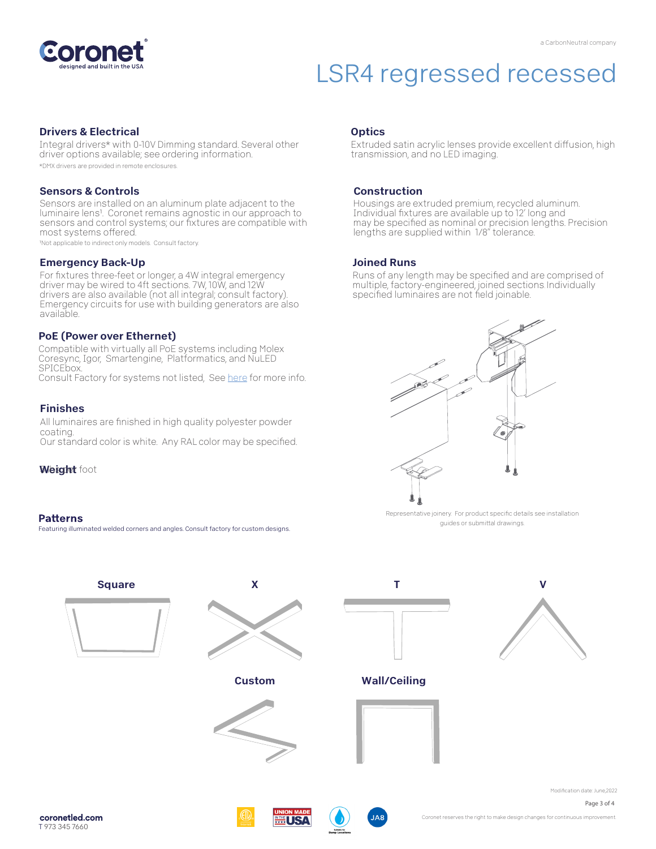

#### Drivers & Electrical

Integral drivers\* with 0-10V Dimming standard. Several other driver options available; see ordering information.

\*DMX drivers are provided in remote enclosures.

#### Sensors & Controls

Sensors are installed on an aluminum plate adjacent to the luminaire lens<sup>1</sup>. Coronet remains agnostic in our approach to sensors and control systems; our fixtures are compatible with most systems offered.

1Not applicable to indirect only models. Consult factory.

#### Emergency Back-Up

For fixtures three-feet or longer, a 4W integral emergency driver may be wired to 4ft sections. 7W, 10W, and 12W drivers are also available (not all integral; consult factory). Emergency circuits for use with building generators are also available.

#### PoE (Power over Ethernet)

Compatible with virtually all PoE systems including Molex Coresync, Igor, Smartengine, Platformatics, and NuLED SPICEbox.

Consult Factory for systems not listed, See here for more info.

#### Finishes

All luminaires are finished in high quality polyester powder coating.

Our standard color is white. Any RAL color may be specified.

Weight foot

#### **Patterns**

Featuring illuminated welded corners and angles. Consult factory for custom designs.

#### **Optics**

Extruded satin acrylic lenses provide excellent diffusion, high transmission, and no LED imaging.

#### Construction

Housings are extruded premium, recycled aluminum. Individual fixtures are available up to 12' long and may be specified as nominal or precision lengths. Precision lengths are supplied within 1/8" tolerance.

#### Joined Runs

Runs of any length may be specified and are comprised of multiple, factory-engineered, joined sections. Individually specified luminaires are not field joinable.



Representative joinery. For product specific details see installation guides or submittal drawings.







Coronet reserves the right to make design changes for continuous improvement.